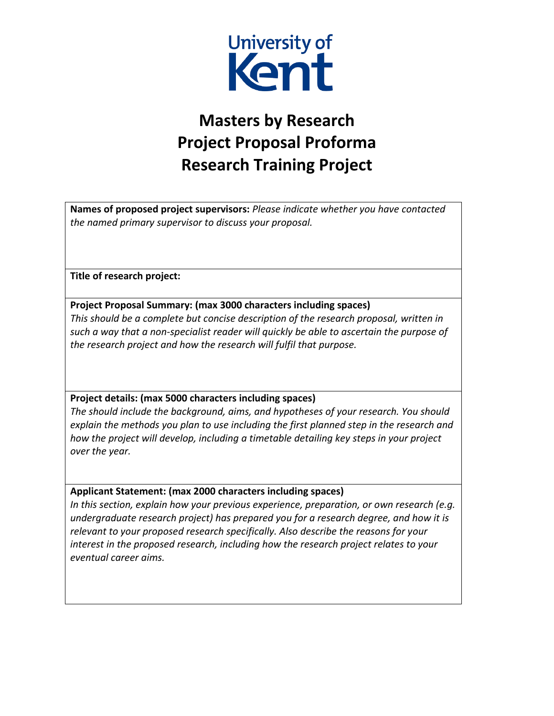

## **Masters by Research Project Proposal Proforma Research Training Project**

**Names of proposed project supervisors:** *Please indicate whether you have contacted the named primary supervisor to discuss your proposal.*

**Title of research project:**

**Project Proposal Summary: (max 3000 characters including spaces)**

*This should be a complete but concise description of the research proposal, written in such a way that a non-specialist reader will quickly be able to ascertain the purpose of the research project and how the research will fulfil that purpose.* 

**Project details: (max 5000 characters including spaces)**

*The should include the background, aims, and hypotheses of your research. You should explain the methods you plan to use including the first planned step in the research and how the project will develop, including a timetable detailing key steps in your project over the year.* 

## **Applicant Statement: (max 2000 characters including spaces)**

*In this section, explain how your previous experience, preparation, or own research (e.g. undergraduate research project) has prepared you for a research degree, and how it is relevant to your proposed research specifically. Also describe the reasons for your interest in the proposed research, including how the research project relates to your eventual career aims.*